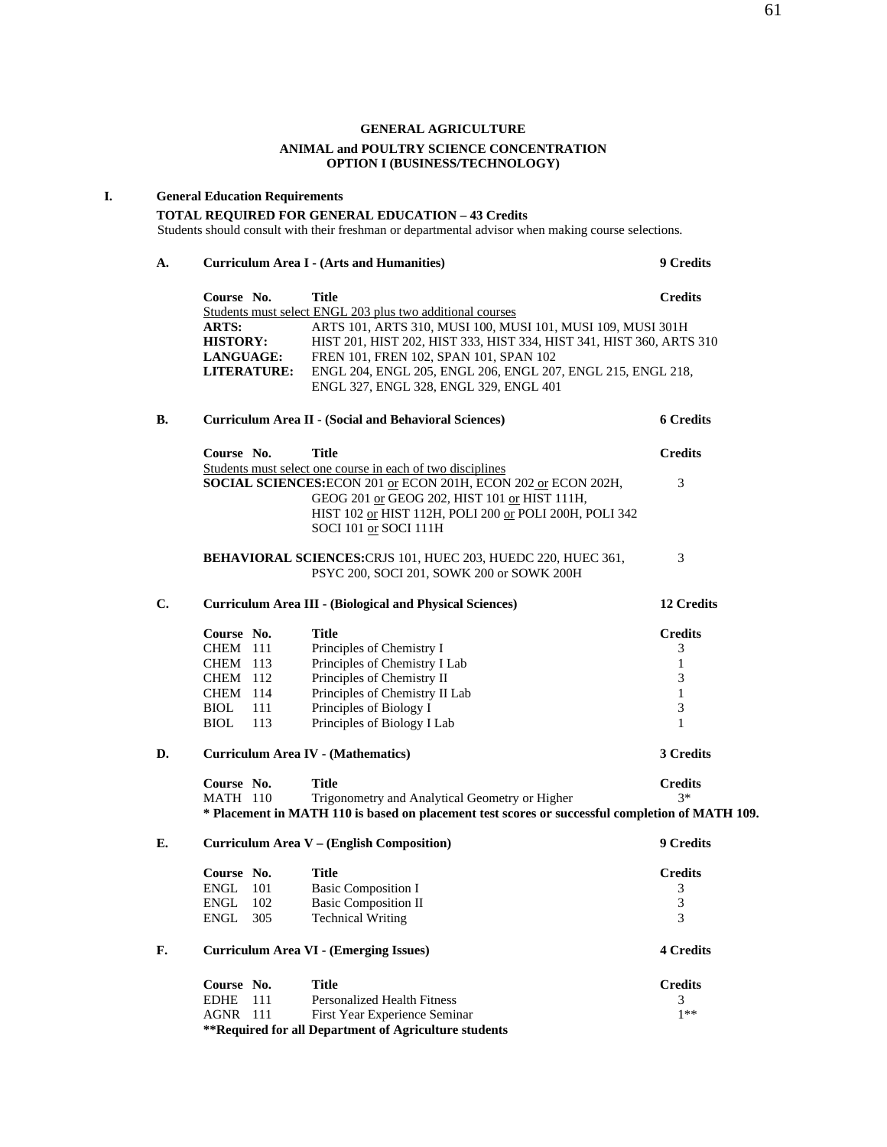### **GENERAL AGRICULTURE ANIMAL and POULTRY SCIENCE CONCENTRATION OPTION I (BUSINESS/TECHNOLOGY)**

#### **I. General Education Requirements**

### **TOTAL REQUIRED FOR GENERAL EDUCATION – 43 Credits**

Students should consult with their freshman or departmental advisor when making course selections.

**A. Curriculum Area I - (Arts and Humanities) 9 Credits** 

# **Course No. 32 Title Credits**  Students must select ENGL 203 plus two additional courses **ARTS:** ARTS 101, ARTS 310, MUSI 100, MUSI 101, MUSI 109, MUSI 301H<br>**HISTORY:** HIST 201, HIST 202, HIST 333, HIST 334, HIST 341, HIST 360, ARTS HIST 201, HIST 202, HIST 333, HIST 334, HIST 341, HIST 360, ARTS 310  **LANGUAGE:** FREN 101, FREN 102, SPAN 101, SPAN 102  **LITERATURE:** ENGL 204, ENGL 205, ENGL 206, ENGL 207, ENGL 215, ENGL 218, ENGL 327, ENGL 328, ENGL 329, ENGL 401 **B. Curriculum Area II - (Social and Behavioral Sciences) 6 Credits**

| Title<br>Course No.                                                   | <b>Credits</b> |
|-----------------------------------------------------------------------|----------------|
| Students must select one course in each of two disciplines            |                |
| <b>SOCIAL SCIENCES: ECON 201 or ECON 201H, ECON 202 or ECON 202H,</b> | 3              |
| GEOG 201 or GEOG 202, HIST 101 or HIST 111H.                          |                |
| HIST 102 or HIST 112H, POLI 200 or POLI 200H, POLI 342                |                |
| SOCI 101 or SOCI 111H                                                 |                |

### **BEHAVIORAL SCIENCES:**CRJS 101, HUEC 203, HUEDC 220, HUEC 361, 3 PSYC 200, SOCI 201, SOWK 200 or SOWK 200H

### **C. Curriculum Area III - (Biological and Physical Sciences) 12 Credits**

**Course No. Title Credits**<br>CHEM 111 Principles of Chemistry I 3 CHEM 111 Principles of Chemistry I<br>CHEM 113 Principles of Chemistry I Lab 1 CHEM 113 Principles of Chemistry I Lab 1<br>CHEM 112 Principles of Chemistry II 3 CHEM 112 Principles of Chemistry II<br>CHEM 114 Principles of Chemistry II Lab 1 CHEM 114 Principles of Chemistry II Lab 1<br>BIOL 111 Principles of Biology I 3 Principles of Biology I 3 BIOL 113 Principles of Biology I Lab 1

### **D. Curriculum Area IV - (Mathematics) 3 Credits**

| Course No. | Title                                                                                           | <b>Credits</b> |
|------------|-------------------------------------------------------------------------------------------------|----------------|
| MATH 110   | Trigonometry and Analytical Geometry or Higher                                                  | $3*$           |
|            | * Placement in MATH 110 is based on placement test scores or successful completion of MATH 109. |                |

**E. Curriculum Area V – (English Composition) 9 Credits** 

|    | Course No. |     | Title                                         | <b>Credits</b>   |
|----|------------|-----|-----------------------------------------------|------------------|
|    | ENGL       | 101 | Basic Composition I                           |                  |
|    | ENGL       | 102 | <b>Basic Composition II</b>                   |                  |
|    | ENGL 305   |     | <b>Technical Writing</b>                      |                  |
| F. |            |     | <b>Curriculum Area VI - (Emerging Issues)</b> | <b>4 Credits</b> |

| Course No.      | Title                                                 | <b>Credits</b> |
|-----------------|-------------------------------------------------------|----------------|
| <b>EDHE</b> 111 | Personalized Health Fitness                           |                |
| AGNR 111        | First Year Experience Seminar                         | $1**$          |
|                 | **Required for all Department of Agriculture students |                |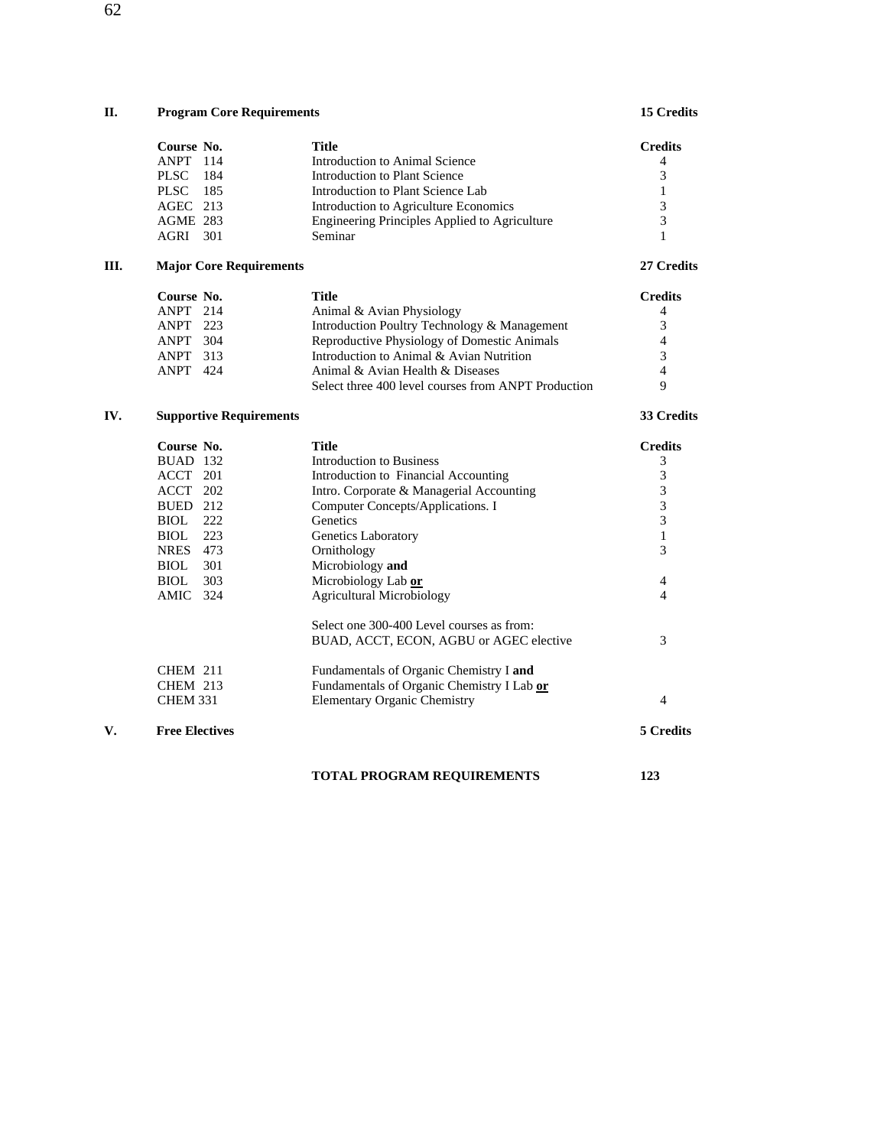# **II. Program Core Requirements 15 Credits**

|     | Course No.                     | <b>Title</b>                                        | <b>Credits</b> |
|-----|--------------------------------|-----------------------------------------------------|----------------|
|     | ANPT 114                       | Introduction to Animal Science                      | 4              |
|     | <b>PLSC</b><br>184             | Introduction to Plant Science                       | 3              |
|     | PLSC 185                       | Introduction to Plant Science Lab                   | 1              |
|     | AGEC 213                       | Introduction to Agriculture Economics               | 3              |
|     | AGME 283                       | Engineering Principles Applied to Agriculture       | 3              |
|     | AGRI 301                       | Seminar                                             | 1              |
| Ш.  | <b>Major Core Requirements</b> |                                                     | 27 Credits     |
|     | Course No.                     | Title                                               | <b>Credits</b> |
|     | ANPT 214                       | Animal & Avian Physiology                           | 4              |
|     | ANPT 223                       | Introduction Poultry Technology & Management        | 3              |
|     | ANPT 304                       | Reproductive Physiology of Domestic Animals         | $\overline{4}$ |
|     | ANPT 313                       | Introduction to Animal & Avian Nutrition            | 3              |
|     | ANPT 424                       | Animal & Avian Health & Diseases                    | $\overline{4}$ |
|     |                                | Select three 400 level courses from ANPT Production | 9              |
| IV. | <b>Supportive Requirements</b> |                                                     | 33 Credits     |
|     | Course No.                     | <b>Title</b>                                        | <b>Credits</b> |
|     | <b>BUAD</b> 132                | <b>Introduction to Business</b>                     | 3              |
|     | ACCT 201                       | Introduction to Financial Accounting                | 3              |
|     | ACCT 202                       | Intro. Corporate & Managerial Accounting            | 3              |
|     | BUED 212                       | Computer Concepts/Applications. I                   | 3              |
|     | <b>BIOL</b> 222                | Genetics                                            | 3              |
|     | <b>BIOL</b><br>223             | Genetics Laboratory                                 | $\mathbf{1}$   |
|     | <b>NRES</b> 473                | Ornithology                                         | 3              |
|     | BIOL<br>301                    | Microbiology and                                    |                |
|     | 303<br>BIOL                    | Microbiology Lab or                                 | 4              |
|     | AMIC 324                       | <b>Agricultural Microbiology</b>                    | 4              |
|     |                                | Select one 300-400 Level courses as from:           |                |
|     |                                | BUAD, ACCT, ECON, AGBU or AGEC elective             | 3              |
|     | <b>CHEM 211</b>                | Fundamentals of Organic Chemistry I and             |                |
|     | <b>CHEM 213</b>                | Fundamentals of Organic Chemistry I Lab or          |                |
|     | <b>CHEM 331</b>                | <b>Elementary Organic Chemistry</b>                 | 4              |
| V.  | <b>Free Electives</b>          |                                                     | 5 Credits      |
|     |                                |                                                     |                |

 **TOTAL PROGRAM REQUIREMENTS 123**

62